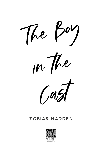

## TOBIAS MADDEN

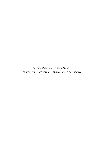*Anything But Fine by Tobias Madden* Chapter Four from Jordan Tanaka-Jones's perspective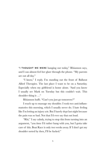"I THOUGHT WE WERE hanging out today," Rhiannon says, and I can almost feel her glare through the phone. "My parents are out all day."

"I know," I reply. I'm standing out the front of Ballarat Allied Therapies. The last place I want to be on a Saturday. Especially when my girlfriend is home alone. "And you know I usually see Mark on Tuesday but this couldn't wait. This shoulder thing is …"

Rhiannon huffs. "Can't you just go tomorrow?"

I reach up to massage my shoulder. I took two anti-inflammatories this morning, which I usually never do. I hate feeling like I'm letting an injury *win*. But I barely slept last night because the pain was so bad. Not that I'd ever say that out loud.

"Rhi," I say calmly, trying to stop this from turning into an argument, "you *know* I'd rather hang with you, but I gotta take care of this. Boat Race is only two weeks away. If I don't get my shoulder sorted by then, I'll be fucked."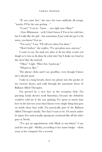"If you came *here*," she says, her tone suddenly all syrupy, "maybe *I'll* be the one getting—"

"I can't," I cut in. "I just … not right now. Okay?"

I love Rhiannon—well, I don't know if I'm *in love* with her, but I really like the girl—but sometimes I just wish she *got it* a bit more, you know? Got *me*.

"I'm sorry," I say, "I'll call you when I'm done."

"Don't bother," she replies, "I've got plans now, anyway."

I want to say, *You made new plans in the last thirty seconds even though we've been on the phone the whole time?* but I shake my head at the clear blue sky instead.

"Okay," I sigh. "Have fun. I gotta go."

"Whatever. Bye."

The phone clicks and I say goodbye, even though I know she's already gone.

I take in a long breath, shove my phone into the pocket of my exercise shorts, and walk through the automatic doors of Ballarat Allied Therapies.

I'm greeted by a new face at the reception desk. I'm guessing Linda doesn't work Saturdays, because she definitely would've told me if she was quitting. I've spent so much time here in the last two years that I know every single thing that goes on inside these four walls. I'm practically part of the Ballarat Allied Therapies family. Not that I want to be. I'd much rather be injury free and actually *enjoying* my weekends like all the other guys at North.

"I've got an appointment with Mark at one-thirty," I say, and the new girl—Shelby, according to her name badge—clicks away at her computer for a second.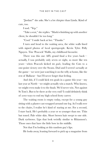"Jordan?" she asks. She's a lot chirpier than Linda. Kind of cute, too.

I nod. "Yep."

"Take a seat," she replies. "Mark is finishing up with another client, he shouldn't be too long."

"Cool." I smile back at her. "Thanks."

I turn and head to the waiting area, the white walls lined with signed photos of local sportspeople. Kevin Tyler. Polly Nguyen. Tim 'Peacock' Wallis, my childhood favourite.

There was this one AFL grand final a few years back actually, I was probably only seven or eight, so more like ten years—when Peacock kicked *ten goals*, leading the Cats to a one-point victory over the Swans. Dad and I weren't actually at the game—we were just watching it on the telly at home, like the rest of Ballarat—but I'll never forget that feeling.

And shit, if I could kick ten goals in a game this year—my last year at North—we might actually win a match. Who knows, we might even make it to the finals. We'd never win. Not against St Tom's. But to be there at the very end? I could definitely think of *worse* ways to end my high school footy career.

The waiting room is empty today, except for a young guy sitting with a plaster cast wrapped around one leg. As I walk over to the chairs, I realise he's kind of staring at me. For a second, I stare back. He's probably a year or so younger than me. Thin but toned. Pale white skin. Short brown hair swept to one side. Dark eyebrows. Lips that look weirdly similar to Rhiannon's. Those ones that have the little bow in the middle.

Not that I'm looking at this random guy's lips.

He looks away, leaning forward to pick up a magazine from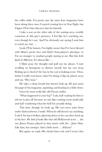the coffee table. I'm pretty sure the same four magazines have been sitting there since I started coming here in Year Eight, but I figure I'll let him discover that for himself.

I take a seat on the other side of the waiting area, weirdly conscious of this guy's presence. I feel like he's watching me, even though he's not. And I'm obviously not saying I *want* him to watch me, but …

Look, I'll be honest, I'm highly aware that I've been blessed with Mum's pretty face and Dad's footy-player's physique, so I'm no stranger to random people staring at me. But this feels kind of different. It's almost like …

I blink away the thought and pull out my phone. I start scrolling on Instagram to distract myself, but my eyes keep flicking up to check if the boy in the cast is looking at me. Then, before I really even know what I'm doing, I slip my phone away and say, "Hey man."

He takes a deep breath but doesn't look up. He just turns the page of his magazine, squinting, and leaning in a little closer.

Guess he must really like old Oscars outfits.

"What happened to your leg?" I ask, half waiting for him to tell me to piss off (because no one likes waiting room small talk) and half wondering what the hell I'm actually doing.

This time, though, he looks up. His eyes meet mine from under dark eyebrows. I smile. When he still doesn't say anything, I ask if his leg is broken, glancing down at his cast then back up to his face. He *kind of* looks like that old Hollywood actor … the one James Franco played in that movie with the—*James Dean*. Like him, but younger. And a little more … delicate?

But again, no reply. His cheeks burn red, and I worry that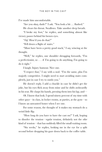I've made him uncomfortable.

"Are you okay, dude?" I ask. "You look a bit … flushed."

He clears his throat. Swallows. Take another deep breath.

"I broke my foot," he replies, and something almost like victory passes behind his brown eyes.

"*Oof*. How'd you do that?"

"Fell down a flight of stairs."

"Must have been a pretty good stack," I say, wincing at the thought.

"Well," he replies, one shoulder shrugging forwards, "I'm a perfectionist, so . . . if I'm going to do anything, I'm going to do it right."

I laugh. Injury humour. Nice one.

"I respect that," I say with a nod. "I'm the same, plus I'm majorly competitive. I might need to start avoiding stairs completely, just in case I try to outdo you."

He doesn't reply. I add a chuckle in case he didn't get the joke, but his eyes flick away from mine and he shifts awkwardly in his seat. He clasps his hands, pressing them into his lap, and—

*Oh*. I know that look. I spend ninety percent of my time with other guys—in class, in locker rooms, at parties, at the gym—so I know an unwanted boner when I see one.

For some reason, the thought of it makes my stomach do a weird little flip.

"How long do you have to have the cast on?" I ask, hoping to dissolve the tension—*regular* tension, definitely not the *other* kind of tension—that has suddenly filled the small waiting room.

"Six weeks," he replies, looking me in the eye for a split second before dropping his gaze down back to the coffee table.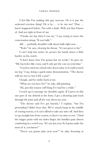I feel like I'm making this guy nervous. Or is it just the awkward erection thing? Or is he … is he *into* me? That … hasn't happened before. Not with a dude. Well, not that I know of. And not right in front of me.

"I broke my leg when I was six," I say, trying to move the conversation along. "It was balls."

*Ahh* … probably shouldn't talk about balls right now…

"Yeah," he says, clearing his throat, "it's not great so far."

I can't help but notice he presses his hands down a little harder on his crotch.

"I don't know how I'm gonna last six weeks," he goes on. "My leg itches like crazy, and I only got the cast on yesterday."

"I used to stick my school ruler down mine so I could scratch my leg," I say, doing a quick mime demonstration. "The doctor told me not to, but it felt *so good*."

I laugh, and he smiles back at me.

"What are you here for?" he asks, still grinning.

"Ah, just this rotator cuff thing I've had for a while."

I reach up to massage my shoulder again. If I press on this one part of my deltoid at the front, I get a shooting pain back through the joint and all the way down my arm.

"The doctor said I've got bursitis," I explain, "but I'm pretending I didn't hear that. We're smack bang in the middle of rowing season, so I can't afford to take any time off. And then we go straight into footy season, so there's no time to rest." I find the trigger point with my index finger, the familiar pain almost comforting in a weird way. "It's my last year. So I gotta make the most of it, you know?"

"You're not gonna play next year?" he asks, frowning at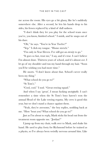me across the room. His eyes go a bit glassy, like he's suddenly somewhere else. After a second, he lets his hands drop to his sides, his frown replaced by a kind of dull sadness.

"I don't think they let you play for the school team once you've, you know, finished school." I smirk, and he snaps out of his daze.

"Oh," he says. "You're in Year Twelve?"

"Yep." I click my tongue. "Home stretch."

"I'm only in Year Eleven. I've still got an *eternity* to go."

"It goes so fast, trust me," I say, and it's true. I can't believe I'm almost done. Thirteen years of school, and it's almost *over*. I let go of my shoulder and run my hand through my hair. "Soon you'll be wishing you had more time."

He snorts. "I don't know about that. School's never really been my thing."

"What school do you go to?"

"St Tom's."

"Cool, cool." I nod. "Great rowing squad."

And when I say 'great', I mean fucking *unstoppable*. I can't remember a time when the St Tom's boys haven't won the annual Head of the Lake rowing regatta. My crew is good this year, but we don't stand a chance against them.

"Yeah, they're awesome," the boy replies, nodding back at me. "How 'bout you? What school do you go to?"

Just as I'm about to reply, Mark sticks his head out from the treatment room opposite me. "Jordan?"

I jump up from my chair, walk over to Mark, and shake his hand. He used to play footy for Richmond before he trained as a physio, so I've always been weirdly nervous around him. Like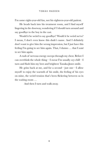I'm some eight-year-old fan, not his eighteen-year-old patient.

He heads back into his treatment room, and I find myself lingering in the doorway, wondering if I should turn around and say goodbye to the boy in the cast.

Would it be weird to say goodbye? Would it be weird *not* to? I mean, I don't even know this dude's name. And I definitely don't want to give him the wrong impression, but I just have this feeling I'm going to see him again. That, I dunno … that I *want* to see him again.

A rush of nervous energy sweeps through my chest. Before I can overthink the whole thing—I swear I'm usually *very* chill—I turn and flash him my best and brightest Tanaka-Jones smile.

He grins back at me, and for a second—just one—I allow myself to enjoy the warmth of his smile, the feeling of his eyes on mine, the weird tension that's been flickering between us in the waiting room …

And then I turn and walk away.